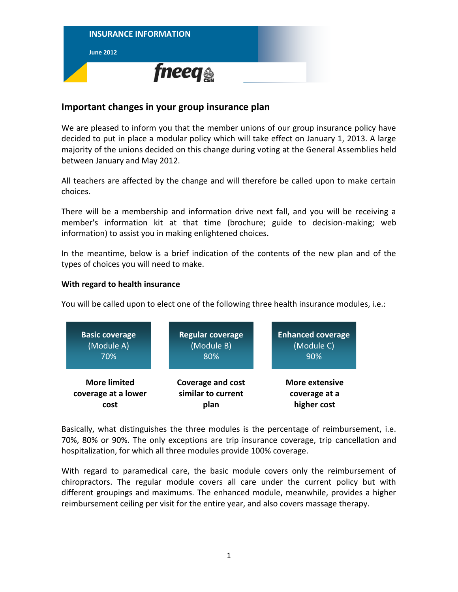

## **Important changes in your group insurance plan**

We are pleased to inform you that the member unions of our group insurance policy have decided to put in place a modular policy which will take effect on January 1, 2013. A large majority of the unions decided on this change during voting at the General Assemblies held between January and May 2012.

All teachers are affected by the change and will therefore be called upon to make certain choices.

There will be a membership and information drive next fall, and you will be receiving a member's information kit at that time (brochure; guide to decision-making; web information) to assist you in making enlightened choices.

In the meantime, below is a brief indication of the contents of the new plan and of the types of choices you will need to make.

## **With regard to health insurance**

You will be called upon to elect one of the following three health insurance modules, i.e.:



Basically, what distinguishes the three modules is the percentage of reimbursement, i.e. 70%, 80% or 90%. The only exceptions are trip insurance coverage, trip cancellation and hospitalization, for which all three modules provide 100% coverage.

With regard to paramedical care, the basic module covers only the reimbursement of chiropractors. The regular module covers all care under the current policy but with different groupings and maximums. The enhanced module, meanwhile, provides a higher reimbursement ceiling per visit for the entire year, and also covers massage therapy.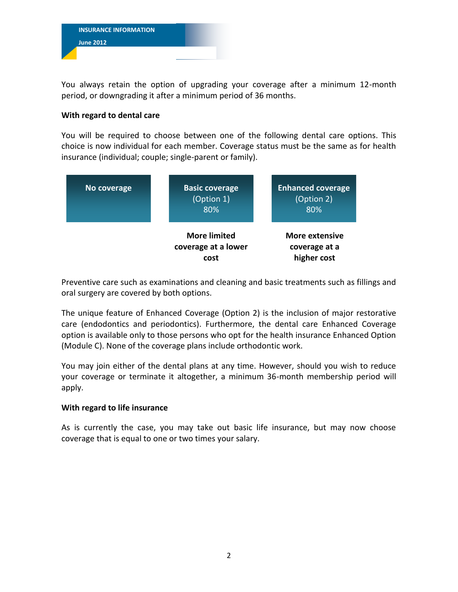

You always retain the option of upgrading your coverage after a minimum 12-month period, or downgrading it after a minimum period of 36 months.

## **With regard to dental care**

You will be required to choose between one of the following dental care options. This choice is now individual for each member. Coverage status must be the same as for health insurance (individual; couple; single-parent or family).



Preventive care such as examinations and cleaning and basic treatments such as fillings and oral surgery are covered by both options.

The unique feature of Enhanced Coverage (Option 2) is the inclusion of major restorative care (endodontics and periodontics). Furthermore, the dental care Enhanced Coverage option is available only to those persons who opt for the health insurance Enhanced Option (Module C). None of the coverage plans include orthodontic work.

You may join either of the dental plans at any time. However, should you wish to reduce your coverage or terminate it altogether, a minimum 36-month membership period will apply.

## **With regard to life insurance**

As is currently the case, you may take out basic life insurance, but may now choose coverage that is equal to one or two times your salary.